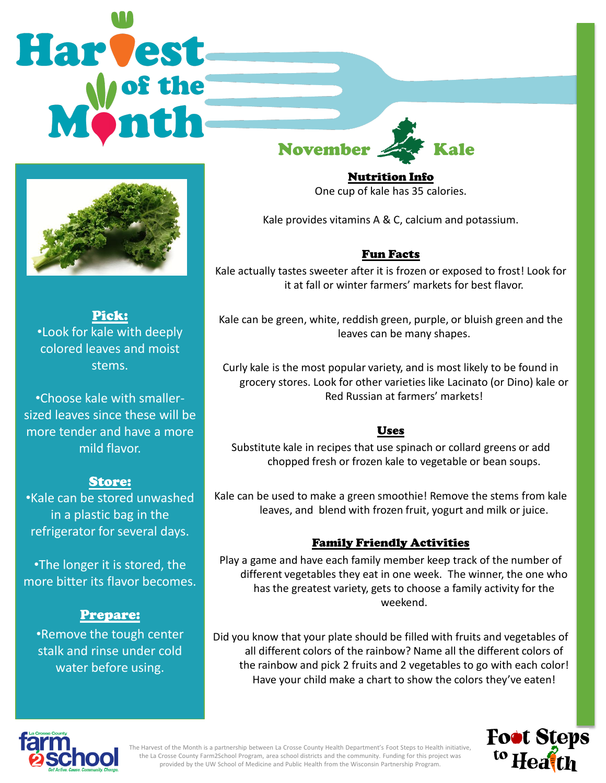# Harvest **November**



Pick: •Look for kale with deeply colored leaves and moist stems.

•Choose kale with smallersized leaves since these will be more tender and have a more mild flavor.

## Store:

•Kale can be stored unwashed in a plastic bag in the refrigerator for several days.

•The longer it is stored, the more bitter its flavor becomes.

## Prepare:

•Remove the tough center stalk and rinse under cold water before using.

Nutrition Info

One cup of kale has 35 calories.

Kale provides vitamins A & C, calcium and potassium.

# Fun Facts

Kale actually tastes sweeter after it is frozen or exposed to frost! Look for it at fall or winter farmers' markets for best flavor.

Kale can be green, white, reddish green, purple, or bluish green and the leaves can be many shapes.

Curly kale is the most popular variety, and is most likely to be found in grocery stores. Look for other varieties like Lacinato (or Dino) kale or Red Russian at farmers' markets!

## Uses

Substitute kale in recipes that use spinach or collard greens or add chopped fresh or frozen kale to vegetable or bean soups.

Kale can be used to make a green smoothie! Remove the stems from kale leaves, and blend with frozen fruit, yogurt and milk or juice.

# Family Friendly Activities

Play a game and have each family member keep track of the number of different vegetables they eat in one week. The winner, the one who has the greatest variety, gets to choose a family activity for the weekend.

Did you know that your plate should be filled with fruits and vegetables of all different colors of the rainbow? Name all the different colors of the rainbow and pick 2 fruits and 2 vegetables to go with each color! Have your child make a chart to show the colors they've eaten!





The Harvest of the Month is a partnership between La Crosse County Health Department's Foot Steps to Health initiative, the La Crosse County Farm2School Program, area school districts and the community. Funding for this project was provided by the UW School of Medicine and Public Health from the Wisconsin Partnership Program.